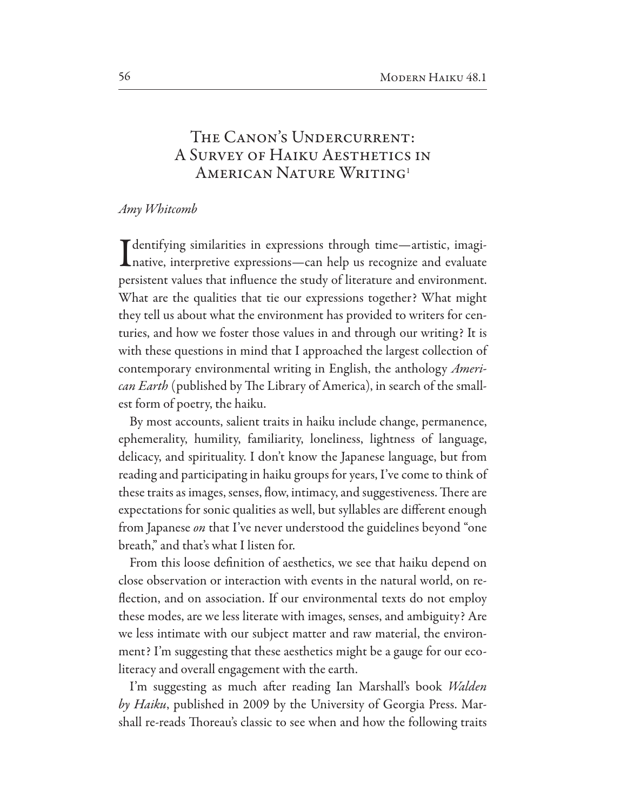## THE CANON'S UNDERCURRENT: A SURVEY OF HAIKU AESTHETICS IN AMERICAN NATURE WRITING<sup>1</sup>

## Amy Whitcomb

 $\mathbf T$  dentifying similarities in expressions through time—artistic, imagi-Lnative, interpretive expressions-can help us recognize and evaluate persistent values that influence the study of literature and environment. What are the qualities that tie our expressions together? What might they tell us about what the environment has provided to writers for centuries, and how we foster those values in and through our writing? It is with these questions in mind that I approached the largest collection of contemporary environmental writing in English, the anthology *American Earth* (published by The Library of America), in search of the smallest form of poetry, the haiku.

By most accounts, salient traits in haiku include change, permanence, ephemerality, humility, familiarity, loneliness, lightness of language, delicacy, and spirituality. I don't know the Japanese language, but from reading and participating in haiku groups for years, I've come to think of these traits as images, senses, flow, intimacy, and suggestiveness. There are expectations for sonic qualities as well, but syllables are different enough from Japanese on that I've never understood the guidelines beyond "one breath," and that's what I listen for.

From this loose definition of aesthetics, we see that haiku depend on close observation or interaction with events in the natural world, on reflection, and on association. If our environmental texts do not employ these modes, are we less literate with images, senses, and ambiguity? Are we less intimate with our subject matter and raw material, the environment? I'm suggesting that these aesthetics might be a gauge for our ecoliteracy and overall engagement with the earth.

I'm suggesting as much after reading Ian Marshall's book Walden by Haiku, published in 2009 by the University of Georgia Press. Marshall re-reads Thoreau's classic to see when and how the following traits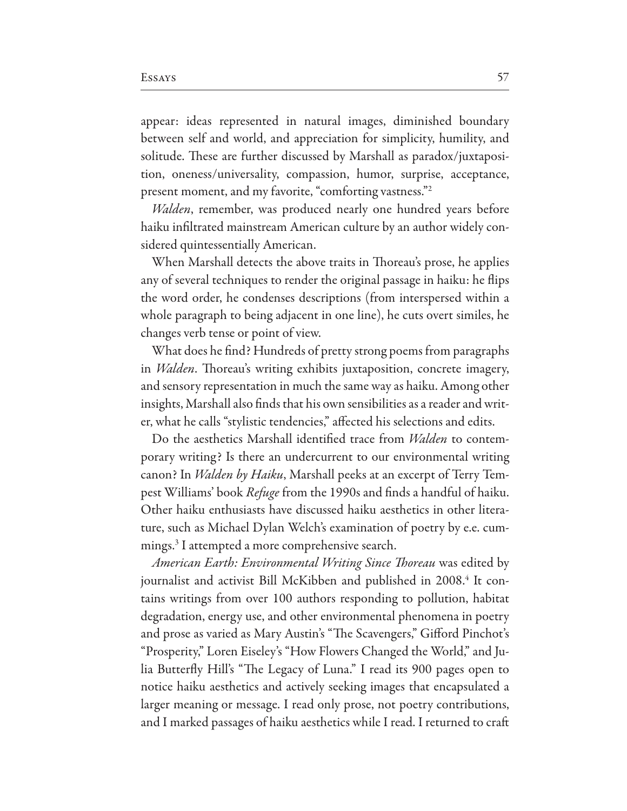appear: ideas represented in natural images, diminished boundary between self and world, and appreciation for simplicity, humility, and solitude. These are further discussed by Marshall as paradox/juxtaposition, oneness/universality, compassion, humor, surprise, acceptance, present moment, and my favorite, "comforting vastness."<sup>2</sup>

*Walden*, remember, was produced nearly one hundred years before haiku infiltrated mainstream American culture by an author widely considered quintessentially American.

When Marshall detects the above traits in Thoreau's prose, he applies any of several techniques to render the original passage in haiku: he flips the word order, he condenses descriptions (from interspersed within a whole paragraph to being adjacent in one line), he cuts overt similes, he changes verb tense or point of view.

What does he find? Hundreds of pretty strong poems from paragraphs in *Walden*. Thoreau's writing exhibits juxtaposition, concrete imagery, and sensory representation in much the same way as haiku. Among other insights, Marshall also finds that his own sensibilities as a reader and writer, what he calls "stylistic tendencies," affected his selections and edits.

Do the aesthetics Marshall identified trace from *Walden* to contemporary writing? Is there an undercurrent to our environmental writing canon? In *Walden by Haiku*, Marshall peeks at an excerpt of Terry Tempest Williams' book Refuge from the 1990s and finds a handful of haiku. Other haiku enthusiasts have discussed haiku aesthetics in other literature, such as Michael Dylan Welch's examination of poetry by e.e. cummings.<sup>3</sup> I attempted a more comprehensive search.

American Earth: Environmental Writing Since Thoreau was edited by journalist and activist Bill McKibben and published in 2008.<sup>4</sup> It contains writings from over 100 authors responding to pollution, habitat degradation, energy use, and other environmental phenomena in poetry and prose as varied as Mary Austin's "The Scavengers," Gifford Pinchot's "Prosperity," Loren Eiseley's "How Flowers Changed the World," and Julia Butterfly Hill's "The Legacy of Luna." I read its 900 pages open to notice haiku aesthetics and actively seeking images that encapsulated a larger meaning or message. I read only prose, not poetry contributions, and I marked passages of haiku aesthetics while I read. I returned to craft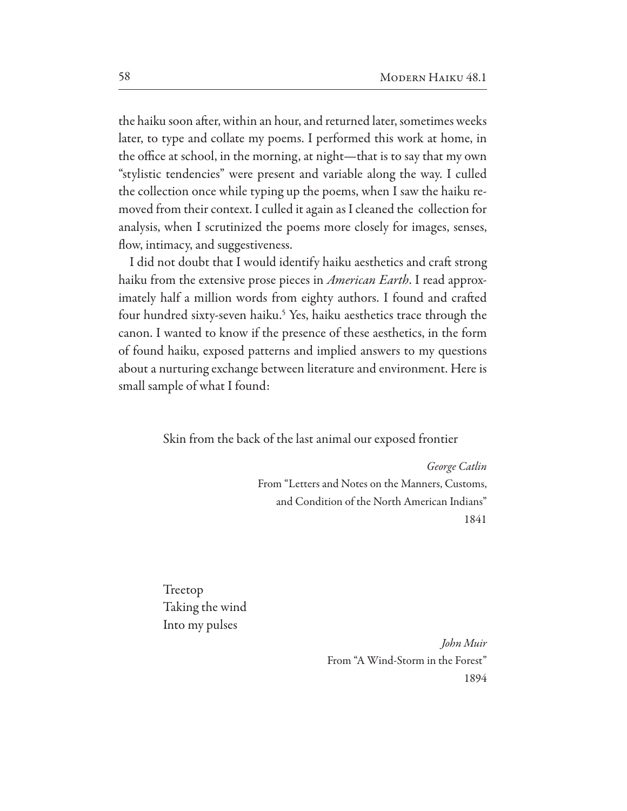the haiku soon after, within an hour, and returned later, sometimes weeks later, to type and collate my poems. I performed this work at home, in the office at school, in the morning, at night—that is to say that my own "stylistic tendencies" were present and variable along the way. I culled the collection once while typing up the poems, when I saw the haiku removed from their context. I culled it again as I cleaned the collection for analysis, when I scrutinized the poems more closely for images, senses, flow, intimacy, and suggestiveness.

I did not doubt that I would identify haiku aesthetics and craft strong haiku from the extensive prose pieces in American Earth. I read approximately half a million words from eighty authors. I found and crafted four hundred sixty-seven haiku.<sup>5</sup> Yes, haiku aesthetics trace through the canon. I wanted to know if the presence of these aesthetics, in the form of found haiku, exposed patterns and implied answers to my questions about a nurturing exchange between literature and environment. Here is small sample of what I found:

Skin from the back of the last animal our exposed frontier

George Catlin From "Letters and Notes on the Manners, Customs, and Condition of the North American Indians" 1841

Treetop Taking the wind Into my pulses

> John Muir From "A Wind-Storm in the Forest" 1894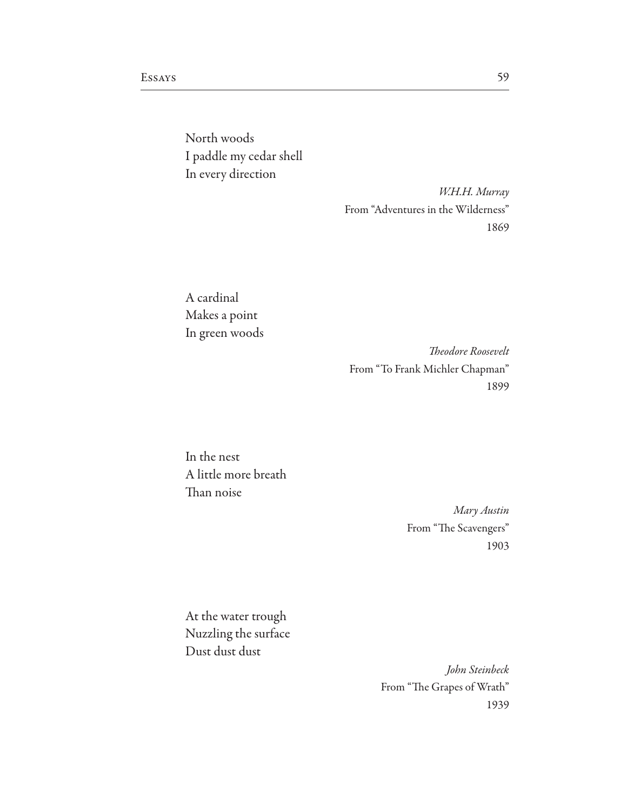North woods I paddle my cedar shell In every direction

> W.H.H. Murray From "Adventures in the Wilderness" 1869

A cardinal Makes a point In green woods

> Theodore Roosevelt From "To Frank Michler Chapman" 1899

In the nest A little more breath Than noise

> Mary Austin From "The Scavengers" 1903

At the water trough Nuzzling the surface Dust dust dust

> John Steinbeck From "The Grapes of Wrath" 1939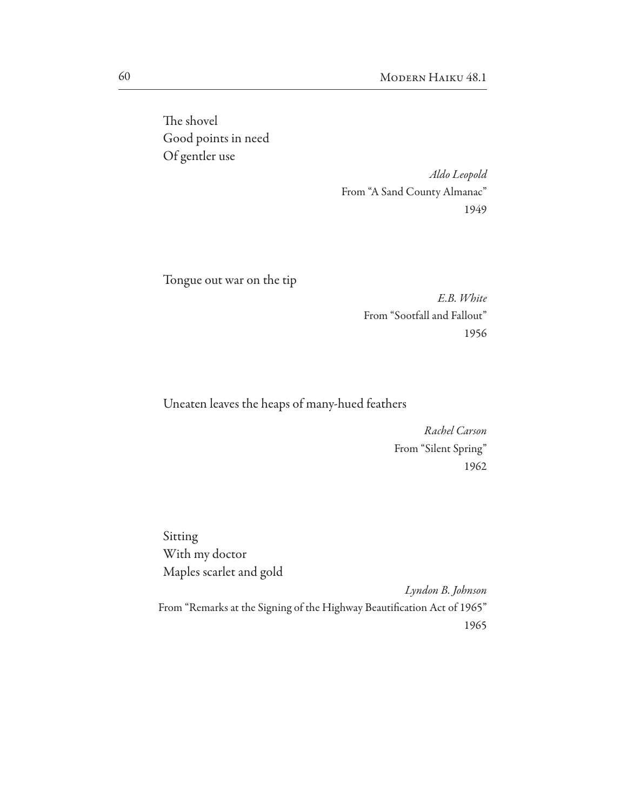The shovel Good points in need Of gentler use

> Aldo Leopold From "A Sand County Almanac" 1949

Tongue out war on the tip

E.B. White From "Sootfall and Fallout" 1956

Uneaten leaves the heaps of many-hued feathers

Rachel Carson From "Silent Spring" 1962

Sitting With my doctor Maples scarlet and gold Lyndon B. Johnson From "Remarks at the Signing of the Highway Beautification Act of 1965"

1965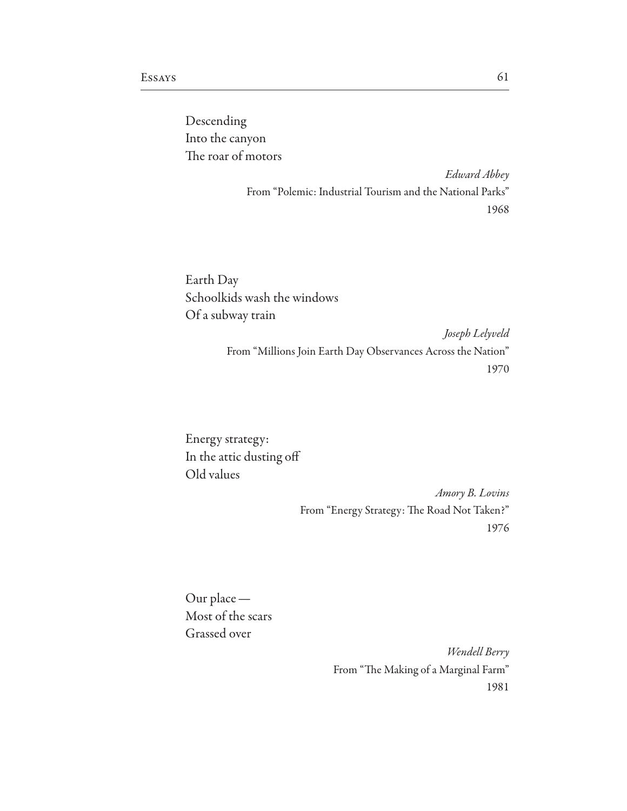Descending Into the canyon The roar of motors

> Edward Abbey From "Polemic: Industrial Tourism and the National Parks" 1968

Earth Day Schoolkids wash the windows Of a subway train

> Joseph Lelyveld From "Millions Join Earth Day Observances Across the Nation" 1970

Energy strategy: In the attic dusting off Old values

> Amory B. Lovins From "Energy Strategy: The Road Not Taken?" 1976

Our place -Most of the scars Grassed over

> Wendell Berry From "The Making of a Marginal Farm" 1981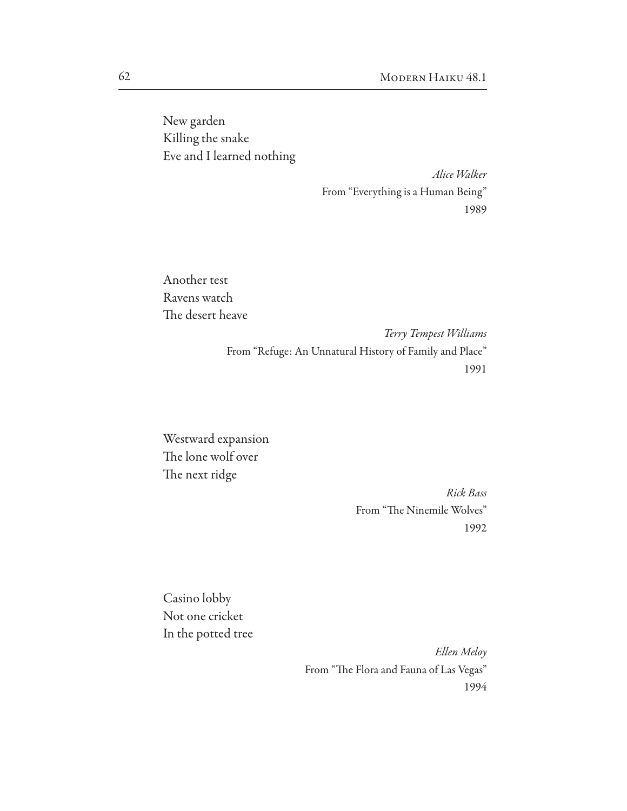New garden Killing the snake Eve and I learned nothing

> Alice Walker From "Everything is a Human Being" 1989

Another test Ravens watch The desert heave

> Terry Tempest Williams From "Refuge: An Unnatural History of Family and Place" 1991

Westward expansion The lone wolf over The next ridge

> Rick Bass From "The Ninemile Wolves" 1992

Casino lobby Not one cricket In the potted tree

> Ellen Meloy From "The Flora and Fauna of Las Vegas" 1994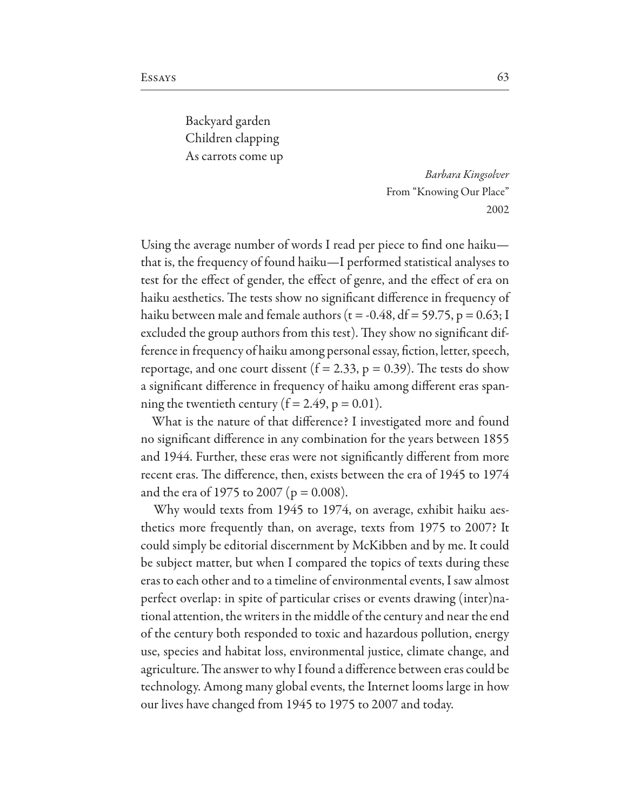Backyard garden Children clapping As carrots come up

> Barbara Kingsolver From "Knowing Our Place" 2002

Using the average number of words I read per piece to find one haikuthat is, the frequency of found haiku—I performed statistical analyses to test for the effect of gender, the effect of genre, and the effect of era on haiku aesthetics. The tests show no significant difference in frequency of haiku between male and female authors ( $t = -0.48$ , df = 59.75, p = 0.63; I excluded the group authors from this test). They show no significant difference in frequency of haiku among personal essay, fiction, letter, speech, reportage, and one court dissent  $(f = 2.33, p = 0.39)$ . The tests do show a significant difference in frequency of haiku among different eras spanning the twentieth century ( $f = 2.49$ ,  $p = 0.01$ ).

What is the nature of that difference? I investigated more and found no significant difference in any combination for the years between 1855 and 1944. Further, these eras were not significantly different from more recent eras. The difference, then, exists between the era of 1945 to 1974 and the era of 1975 to 2007 ( $p = 0.008$ ).

Why would texts from 1945 to 1974, on average, exhibit haiku aesthetics more frequently than, on average, texts from 1975 to 2007? It could simply be editorial discernment by McKibben and by me. It could be subject matter, but when I compared the topics of texts during these eras to each other and to a timeline of environmental events, I saw almost perfect overlap: in spite of particular crises or events drawing (inter)national attention, the writers in the middle of the century and near the end of the century both responded to toxic and hazardous pollution, energy use, species and habitat loss, environmental justice, climate change, and agriculture. The answer to why I found a difference between eras could be technology. Among many global events, the Internet looms large in how our lives have changed from 1945 to 1975 to 2007 and today.